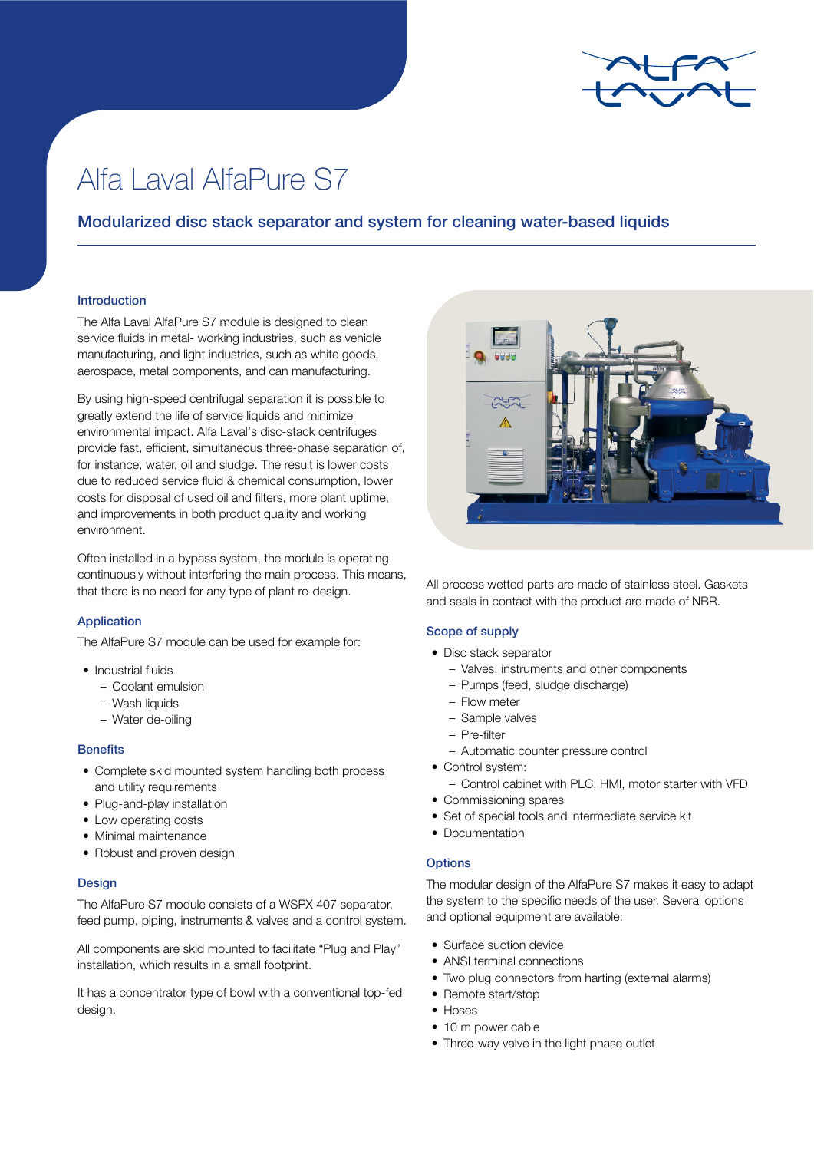

# Alfa Laval AlfaPure S7

# Modularized disc stack separator and system for cleaning water-based liquids

#### Introduction

The Alfa Laval AlfaPure S7 module is designed to clean service fluids in metal- working industries, such as vehicle manufacturing, and light industries, such as white goods, aerospace, metal components, and can manufacturing.

By using high-speed centrifugal separation it is possible to greatly extend the life of service liquids and minimize environmental impact. Alfa Laval's disc-stack centrifuges provide fast, efficient, simultaneous three-phase separation of, for instance, water, oil and sludge. The result is lower costs due to reduced service fluid & chemical consumption, lower costs for disposal of used oil and filters, more plant uptime, and improvements in both product quality and working environment.

Often installed in a bypass system, the module is operating continuously without interfering the main process. This means, that there is no need for any type of plant re-design.

### Application

The AlfaPure S7 module can be used for example for:

- Industrial fluide
	- Coolant emulsion
	- Wash liquids
	- Water de-oiling

#### **Benefits**

- Complete skid mounted system handling both process and utility requirements
- Plug-and-play installation
- Low operating costs
- Minimal maintenance
- Robust and proven design

## **Design**

The AlfaPure S7 module consists of a WSPX 407 separator, feed pump, piping, instruments & valves and a control system.

All components are skid mounted to facilitate "Plug and Play" installation, which results in a small footprint.

It has a concentrator type of bowl with a conventional top-fed design.



All process wetted parts are made of stainless steel. Gaskets and seals in contact with the product are made of NBR.

#### Scope of supply

- Disc stack separator
	- Valves, instruments and other components
	- Pumps (feed, sludge discharge)
	- Flow meter
	- Sample valves
	- Pre-filter
	- Automatic counter pressure control
- Control system:
	- Control cabinet with PLC, HMI, motor starter with VFD
- Commissioning spares
- Set of special tools and intermediate service kit
- Documentation

#### **Options**

The modular design of the AlfaPure S7 makes it easy to adapt the system to the specific needs of the user. Several options and optional equipment are available:

- Surface suction device
- ANSI terminal connections
- Two plug connectors from harting (external alarms)
- Remote start/stop
- Hoses
- 10 m power cable
- Three-way valve in the light phase outlet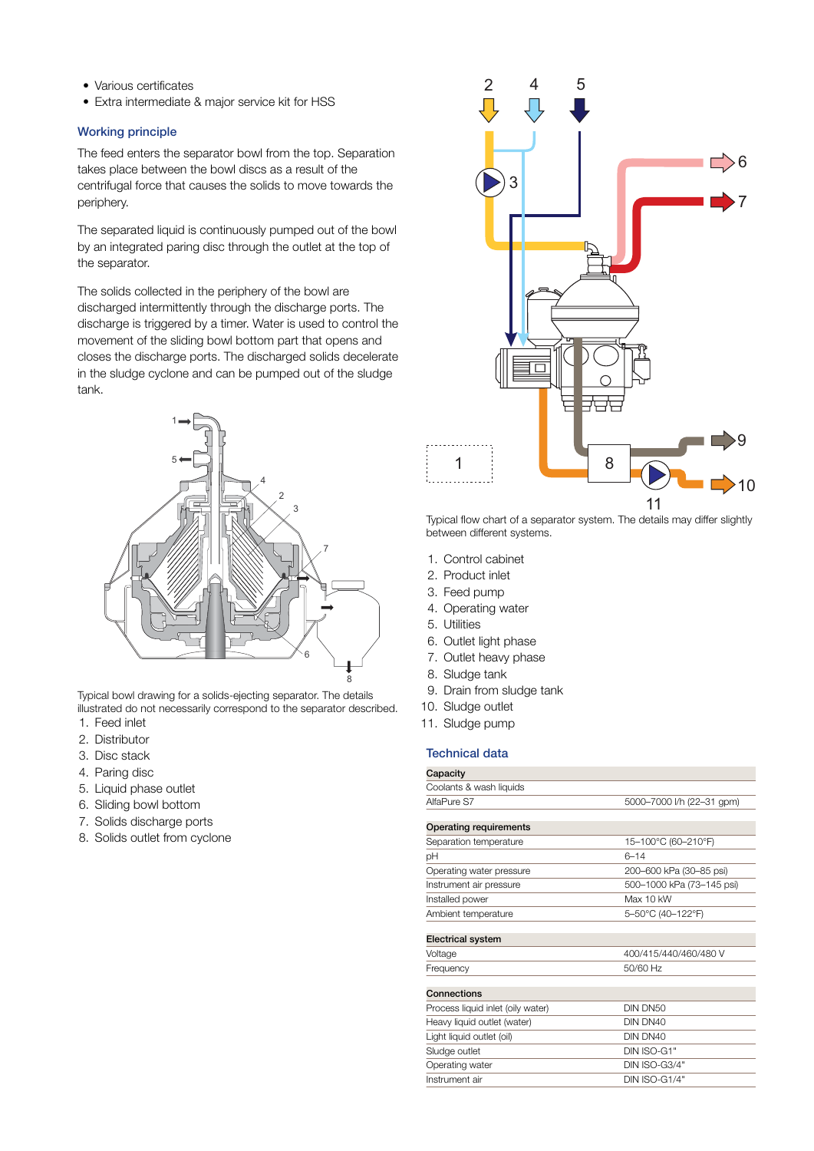- Various certificates
- Extra intermediate & major service kit for HSS

### Working principle

The feed enters the separator bowl from the top. Separation takes place between the bowl discs as a result of the centrifugal force that causes the solids to move towards the periphery.

The separated liquid is continuously pumped out of the bowl by an integrated paring disc through the outlet at the top of the separator.

The solids collected in the periphery of the bowl are discharged intermittently through the discharge ports. The discharge is triggered by a timer. Water is used to control the movement of the sliding bowl bottom part that opens and closes the discharge ports. The discharged solids decelerate in the sludge cyclone and can be pumped out of the sludge tank.



Typical bowl drawing for a solids-ejecting separator. The details illustrated do not necessarily correspond to the separator described.

- 1. Feed inlet
- 2. Distributor
- 3. Disc stack
- 4. Paring disc
- 5. Liquid phase outlet
- 6. Sliding bowl bottom
- 7. Solids discharge ports
- 8. Solids outlet from cyclone



Typical flow chart of a separator system. The details may differ slightly between different systems.

- 1. Control cabinet
- 2. Product inlet
- 3. Feed pump
- 4. Operating water
- 5. Utilities
- 6. Outlet light phase
- 7. Outlet heavy phase
- 8. Sludge tank
- 9. Drain from sludge tank
- 10. Sludge outlet
- 11. Sludge pump

## Technical data

| Capacity                          |                           |
|-----------------------------------|---------------------------|
| Coolants & wash liquids           |                           |
| AlfaPure S7                       | 5000-7000 l/h (22-31 gpm) |
|                                   |                           |
| <b>Operating requirements</b>     |                           |
| Separation temperature            | 15-100°C (60-210°F)       |
| рH                                | $6 - 14$                  |
| Operating water pressure          | 200-600 kPa (30-85 psi)   |
| Instrument air pressure           | 500-1000 kPa (73-145 psi) |
| Installed power                   | Max 10 kW                 |
| Ambient temperature               | 5-50°C (40-122°F)         |
|                                   |                           |
| <b>Electrical system</b>          |                           |
| Voltage                           | 400/415/440/460/480 V     |
| Frequency                         | 50/60 Hz                  |
|                                   |                           |
| Connections                       |                           |
| Process liquid inlet (oily water) | DIN DN50                  |
| Heavy liquid outlet (water)       | DIN DN40                  |
| Light liquid outlet (oil)         | DIN DN40                  |
| Sludge outlet                     | DIN ISO-G1"               |
| Operating water                   | DIN ISO-G3/4"             |
| Instrument air                    | <b>DIN ISO-G1/4"</b>      |